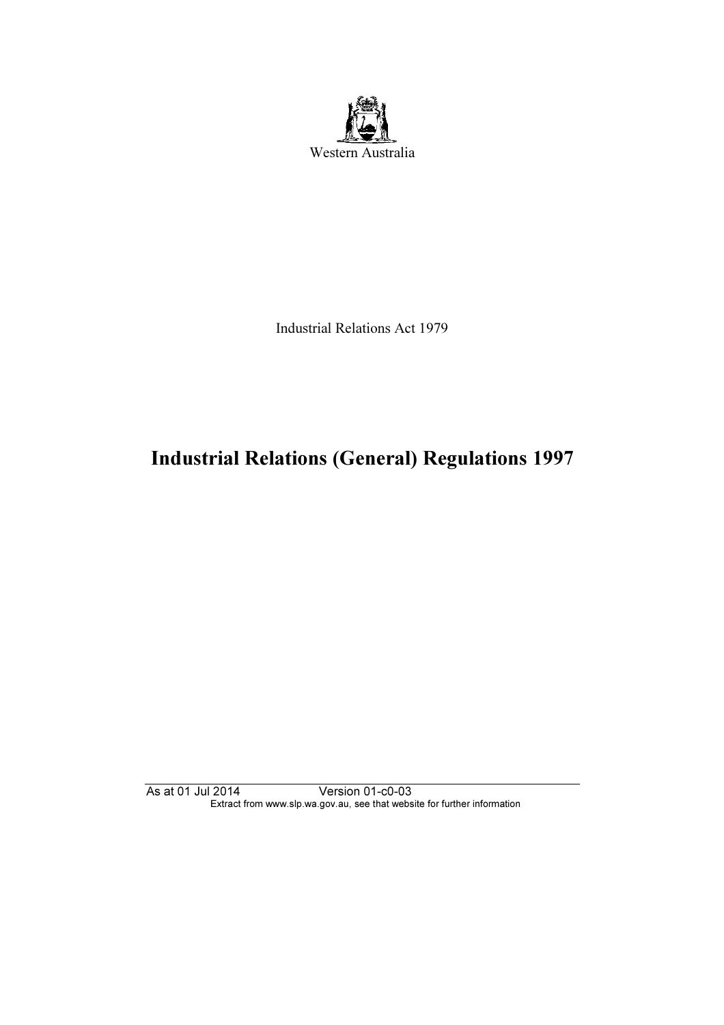

Industrial Relations Act 1979

# Industrial Relations (General) Regulations 1997

As at 01 Jul 2014 Version 01-c0-03 Extract from www.slp.wa.gov.au, see that website for further information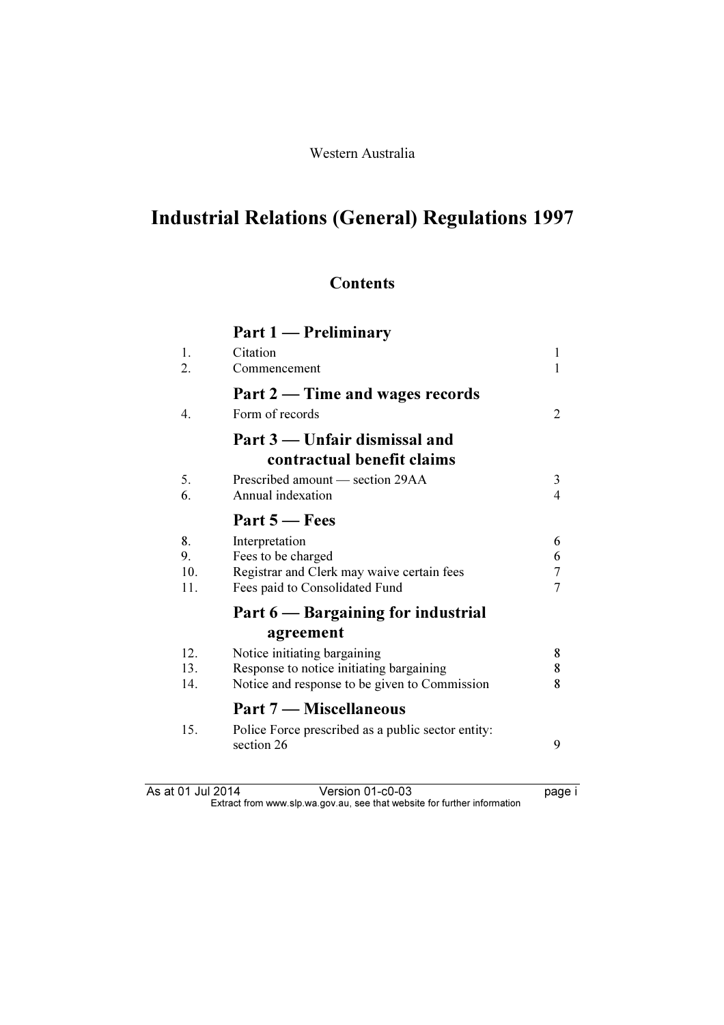# Industrial Relations (General) Regulations 1997

# **Contents**

| $\mathbf{I}$ – Preliminary<br>Part 1 |  |
|--------------------------------------|--|
|--------------------------------------|--|

| 1.<br>2.               | Citation<br>Commencement                                                                                                  | 1                             |
|------------------------|---------------------------------------------------------------------------------------------------------------------------|-------------------------------|
| $\overline{4}$ .       | Part 2 — Time and wages records<br>Form of records                                                                        | 2                             |
|                        | Part 3 — Unfair dismissal and<br>contractual benefit claims                                                               |                               |
| 5.<br>6.               | Prescribed amount — section 29AA<br>Annual indexation                                                                     | 3<br>4                        |
|                        | Part $5 -$ Fees                                                                                                           |                               |
| 8.<br>9.<br>10.<br>11. | Interpretation<br>Fees to be charged<br>Registrar and Clerk may waive certain fees<br>Fees paid to Consolidated Fund      | 6<br>6<br>$\overline{7}$<br>7 |
|                        | Part 6 — Bargaining for industrial                                                                                        |                               |
|                        | agreement                                                                                                                 |                               |
| 12.<br>13.<br>14.      | Notice initiating bargaining<br>Response to notice initiating bargaining<br>Notice and response to be given to Commission | 8<br>8<br>8                   |
|                        | Part 7 – Miscellaneous                                                                                                    |                               |
| 15.                    | Police Force prescribed as a public sector entity:<br>section 26                                                          | 9                             |

As at 01 Jul 2014 Version 01-c0-03 page i Extract from www.slp.wa.gov.au, see that website for further information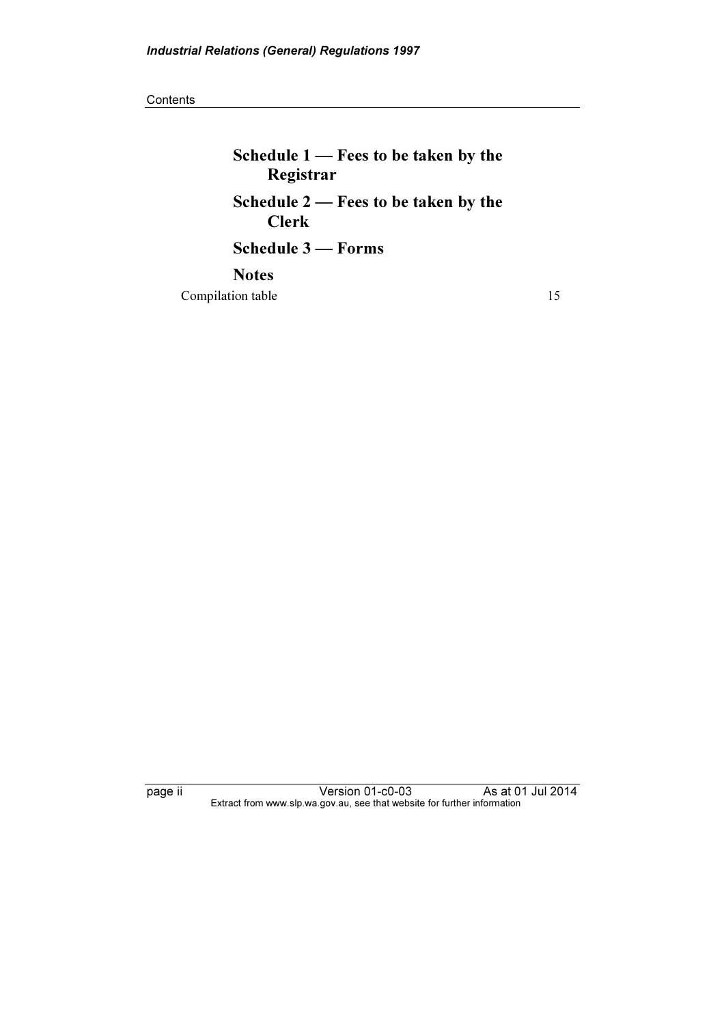**Contents** 

Schedule 1 — Fees to be taken by the Registrar Schedule 2 — Fees to be taken by the Clerk Schedule 3 — Forms Notes

Compilation table 15

page ii Version 01-c0-03 As at 01 Jul 2014 Extract from www.slp.wa.gov.au, see that website for further information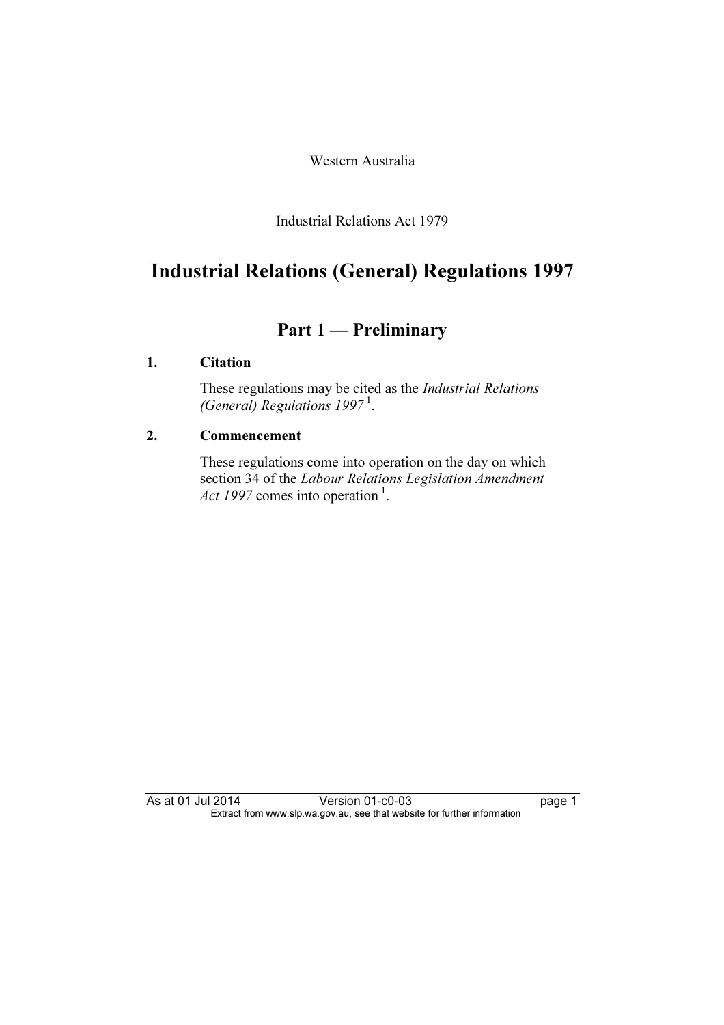Western Australia

Industrial Relations Act 1979

# Industrial Relations (General) Regulations 1997

# Part 1 — Preliminary

#### 1. Citation

 These regulations may be cited as the Industrial Relations (General) Regulations  $1997<sup>1</sup>$ .

#### 2. Commencement

 These regulations come into operation on the day on which section 34 of the Labour Relations Legislation Amendment Act 1997 comes into operation<sup>1</sup>.

As at 01 Jul 2014 Version 01-c0-03 page 1 Extract from www.slp.wa.gov.au, see that website for further information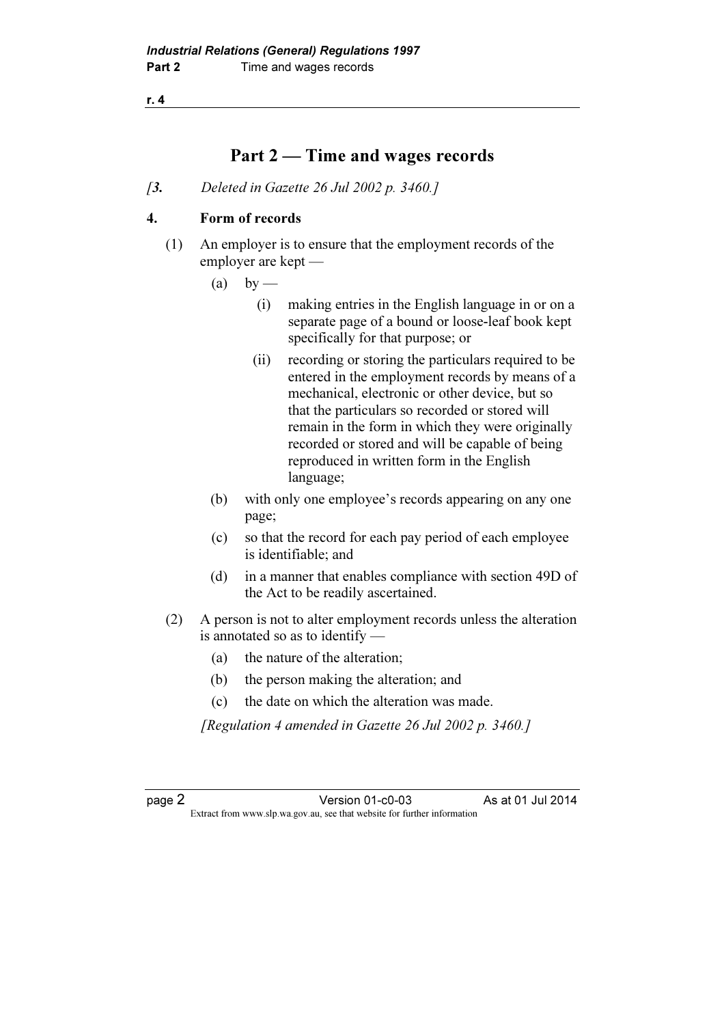### Part 2 — Time and wages records

[3. Deleted in Gazette 26 Jul 2002 p. 3460.]

#### 4. Form of records

- (1) An employer is to ensure that the employment records of the employer are kept —
	- $(a)$  by
		- (i) making entries in the English language in or on a separate page of a bound or loose-leaf book kept specifically for that purpose; or
		- (ii) recording or storing the particulars required to be entered in the employment records by means of a mechanical, electronic or other device, but so that the particulars so recorded or stored will remain in the form in which they were originally recorded or stored and will be capable of being reproduced in written form in the English language;
	- (b) with only one employee's records appearing on any one page;
	- (c) so that the record for each pay period of each employee is identifiable; and
	- (d) in a manner that enables compliance with section 49D of the Act to be readily ascertained.
- (2) A person is not to alter employment records unless the alteration is annotated so as to identify —
	- (a) the nature of the alteration;
	- (b) the person making the alteration; and
	- (c) the date on which the alteration was made.

[Regulation 4 amended in Gazette 26 Jul 2002 p. 3460.]

page 2<br>Extract from www.slp.wa.gov.au, see that website for further information<br>Extract from www.slp.wa.gov.au, see that website for further information  $\mathbf{F}$  from which we be the website for further information for further information  $\mathbf{F}$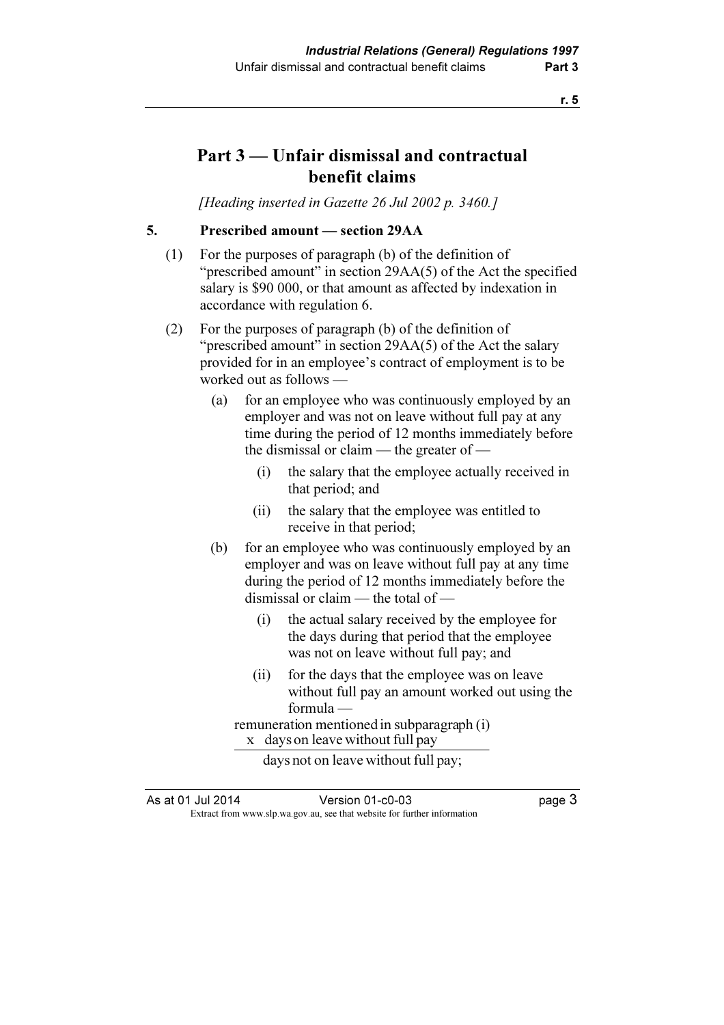# Part 3 — Unfair dismissal and contractual benefit claims

[Heading inserted in Gazette 26 Jul 2002 p. 3460.]

5. Prescribed amount — section 29AA

- (1) For the purposes of paragraph (b) of the definition of "prescribed amount" in section 29AA(5) of the Act the specified salary is \$90 000, or that amount as affected by indexation in accordance with regulation 6.
- (2) For the purposes of paragraph (b) of the definition of "prescribed amount" in section 29AA(5) of the Act the salary provided for in an employee's contract of employment is to be worked out as follows —
	- (a) for an employee who was continuously employed by an employer and was not on leave without full pay at any time during the period of 12 months immediately before the dismissal or claim — the greater of —
		- (i) the salary that the employee actually received in that period; and
		- (ii) the salary that the employee was entitled to receive in that period;
	- (b) for an employee who was continuously employed by an employer and was on leave without full pay at any time during the period of 12 months immediately before the dismissal or claim — the total of —
		- (i) the actual salary received by the employee for the days during that period that the employee was not on leave without full pay; and
		- (ii) for the days that the employee was on leave without full pay an amount worked out using the formula —

remuneration mentioned in subparagraph (i)  $x$  days on leave without full pay

days not on leave without full pay;

As at 01 Jul 2014 Version 01-c0-03 page 3  $\mathbf{F}$  from which we be the website for further information for further information  $\mathbf{F}$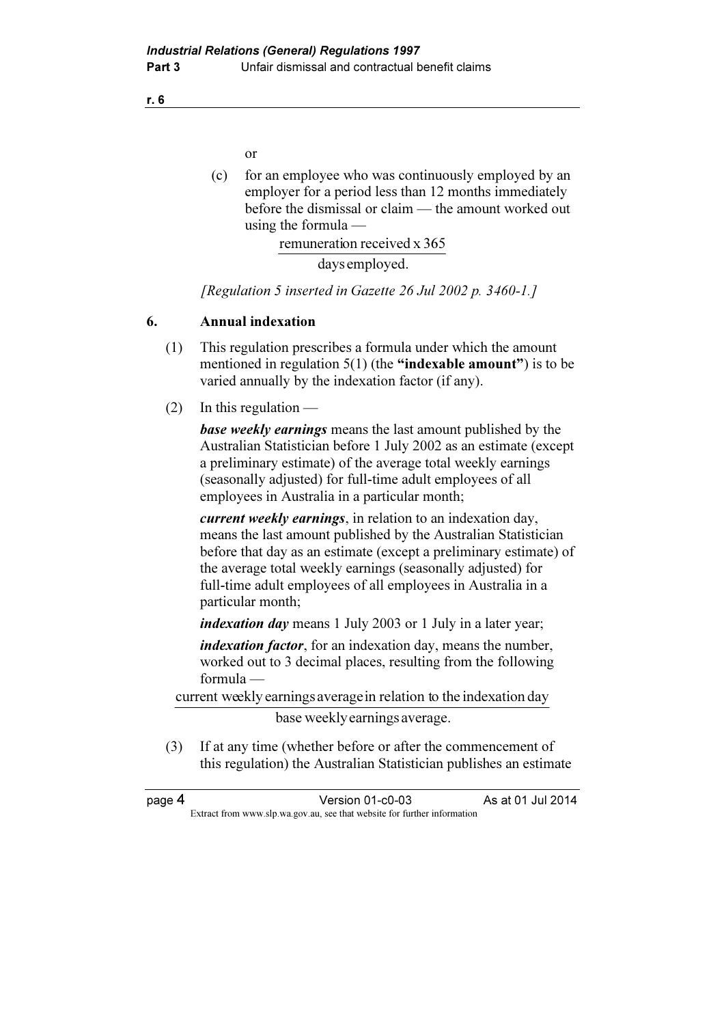or

 (c) for an employee who was continuously employed by an employer for a period less than 12 months immediately before the dismissal or claim — the amount worked out using the formula —

remuneration received x 365

days employed.

[Regulation 5 inserted in Gazette 26 Jul 2002 p. 3460-1.]

#### 6. Annual indexation

- (1) This regulation prescribes a formula under which the amount mentioned in regulation  $5(1)$  (the "indexable amount") is to be varied annually by the indexation factor (if any).
- (2) In this regulation —

**base weekly earnings** means the last amount published by the Australian Statistician before 1 July 2002 as an estimate (except a preliminary estimate) of the average total weekly earnings (seasonally adjusted) for full-time adult employees of all employees in Australia in a particular month;

current weekly earnings, in relation to an indexation day, means the last amount published by the Australian Statistician before that day as an estimate (except a preliminary estimate) of the average total weekly earnings (seasonally adjusted) for full-time adult employees of all employees in Australia in a particular month;

indexation day means 1 July 2003 or 1 July in a later year;

indexation factor, for an indexation day, means the number, worked out to 3 decimal places, resulting from the following formula —

current weekly earnings averagein relation to the indexation day

base weekly earnings average.

 (3) If at any time (whether before or after the commencement of this regulation) the Australian Statistician publishes an estimate

| page 4 | Version 01-c0-03                                                         | As at 01 Jul 2014 |
|--------|--------------------------------------------------------------------------|-------------------|
|        | Extract from www.slp.wa.gov.au, see that website for further information |                   |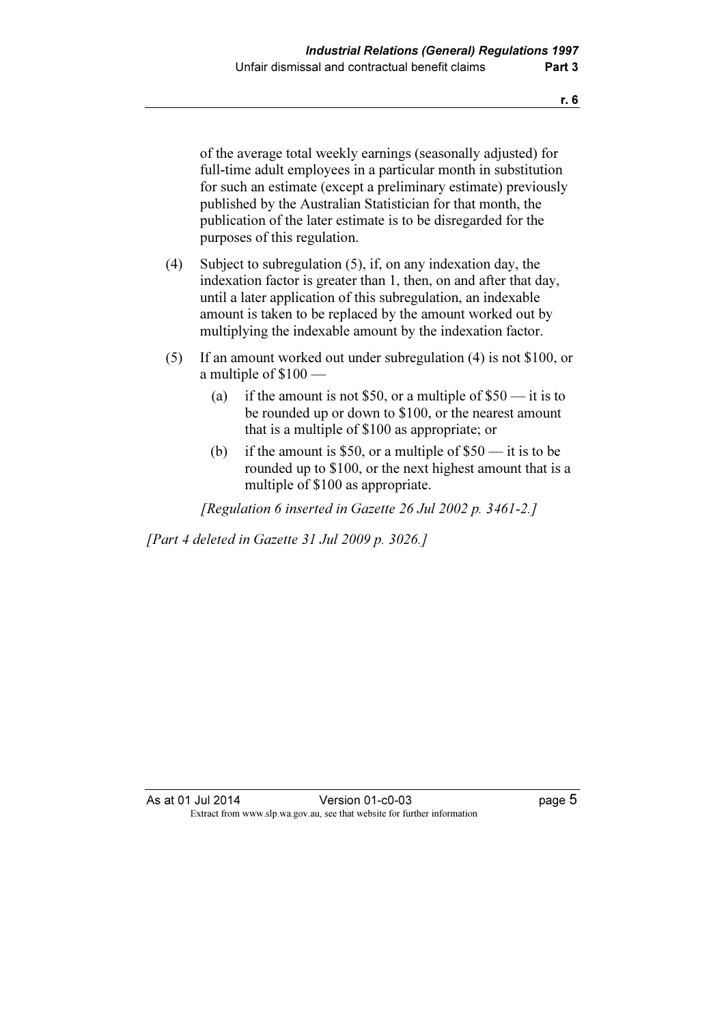of the average total weekly earnings (seasonally adjusted) for full-time adult employees in a particular month in substitution for such an estimate (except a preliminary estimate) previously published by the Australian Statistician for that month, the publication of the later estimate is to be disregarded for the purposes of this regulation.

- (4) Subject to subregulation (5), if, on any indexation day, the indexation factor is greater than 1, then, on and after that day, until a later application of this subregulation, an indexable amount is taken to be replaced by the amount worked out by multiplying the indexable amount by the indexation factor.
- (5) If an amount worked out under subregulation (4) is not \$100, or a multiple of \$100 —
	- (a) if the amount is not \$50, or a multiple of  $$50$  it is to be rounded up or down to \$100, or the nearest amount that is a multiple of \$100 as appropriate; or
	- (b) if the amount is \$50, or a multiple of  $$50$  it is to be rounded up to \$100, or the next highest amount that is a multiple of \$100 as appropriate.

[Regulation 6 inserted in Gazette 26 Jul 2002 p. 3461-2.]

[Part 4 deleted in Gazette 31 Jul 2009 p. 3026.]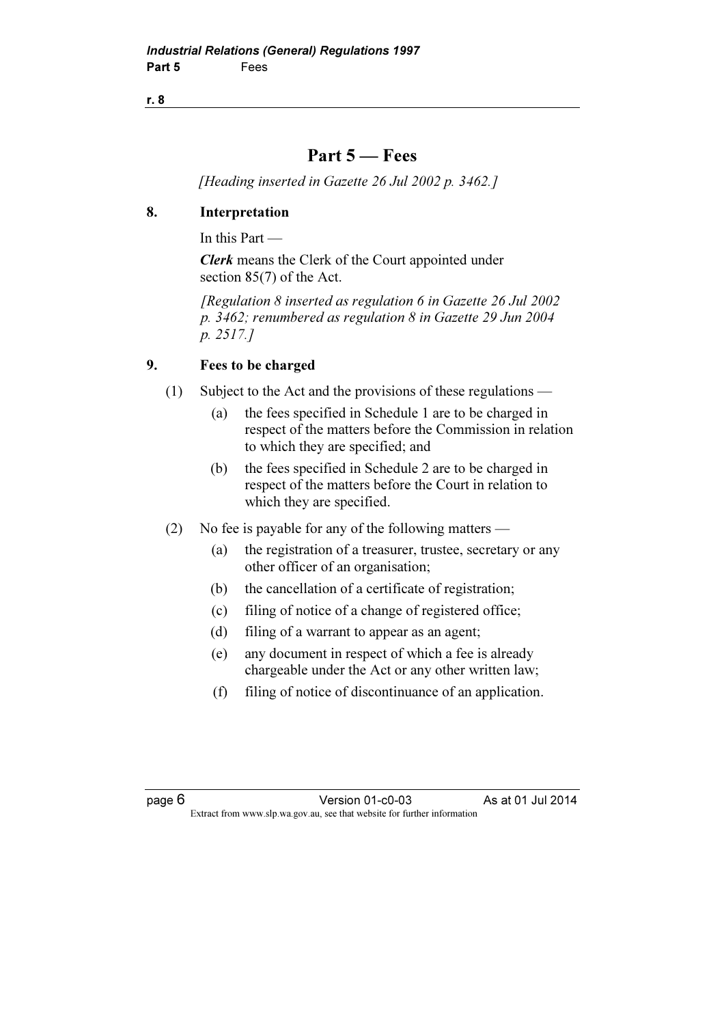## Part 5 — Fees

[Heading inserted in Gazette 26 Jul 2002 p. 3462.]

### 8. Interpretation

In this Part —

Clerk means the Clerk of the Court appointed under section 85(7) of the Act.

 [Regulation 8 inserted as regulation 6 in Gazette 26 Jul 2002 p. 3462; renumbered as regulation 8 in Gazette 29 Jun 2004 p. 2517.]

### 9. Fees to be charged

- (1) Subject to the Act and the provisions of these regulations
	- (a) the fees specified in Schedule 1 are to be charged in respect of the matters before the Commission in relation to which they are specified; and
	- (b) the fees specified in Schedule 2 are to be charged in respect of the matters before the Court in relation to which they are specified.
- (2) No fee is payable for any of the following matters
	- (a) the registration of a treasurer, trustee, secretary or any other officer of an organisation;
	- (b) the cancellation of a certificate of registration;
	- (c) filing of notice of a change of registered office;
	- (d) filing of a warrant to appear as an agent;
	- (e) any document in respect of which a fee is already chargeable under the Act or any other written law;
	- (f) filing of notice of discontinuance of an application.

page 6 Version 01-c0-03 As at 01 Jul 2014  $\mathbf{F}$  from which we be the website for further information for further information  $\mathbf{F}$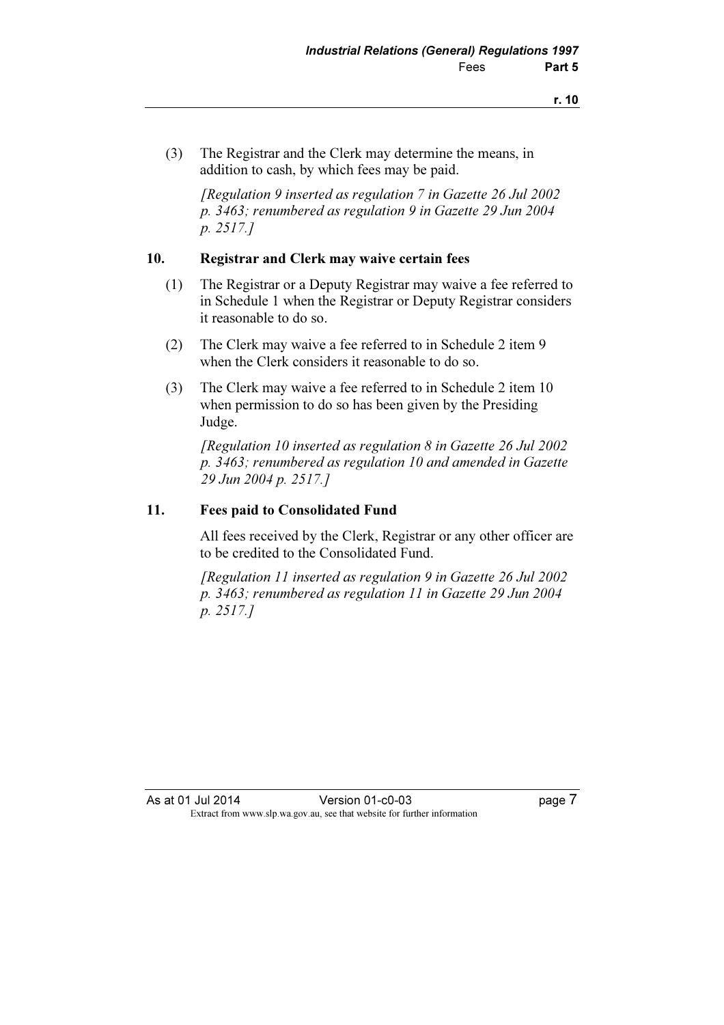(3) The Registrar and the Clerk may determine the means, in addition to cash, by which fees may be paid.

 [Regulation 9 inserted as regulation 7 in Gazette 26 Jul 2002 p. 3463; renumbered as regulation 9 in Gazette 29 Jun 2004 p. 2517.]

#### 10. Registrar and Clerk may waive certain fees

- (1) The Registrar or a Deputy Registrar may waive a fee referred to in Schedule 1 when the Registrar or Deputy Registrar considers it reasonable to do so.
- (2) The Clerk may waive a fee referred to in Schedule 2 item 9 when the Clerk considers it reasonable to do so.
- (3) The Clerk may waive a fee referred to in Schedule 2 item 10 when permission to do so has been given by the Presiding Judge.

 [Regulation 10 inserted as regulation 8 in Gazette 26 Jul 2002 p. 3463; renumbered as regulation 10 and amended in Gazette 29 Jun 2004 p. 2517.]

#### 11. Fees paid to Consolidated Fund

 All fees received by the Clerk, Registrar or any other officer are to be credited to the Consolidated Fund.

 [Regulation 11 inserted as regulation 9 in Gazette 26 Jul 2002 p. 3463; renumbered as regulation 11 in Gazette 29 Jun 2004 p. 2517.]

As at 01 Jul 2014 Version 01-c0-03 Page 7<br>Extract from www.slp.wa.gov.au, see that website for further information  $\mathbf{F}$  from which we be the website for further information for further information  $\mathbf{F}$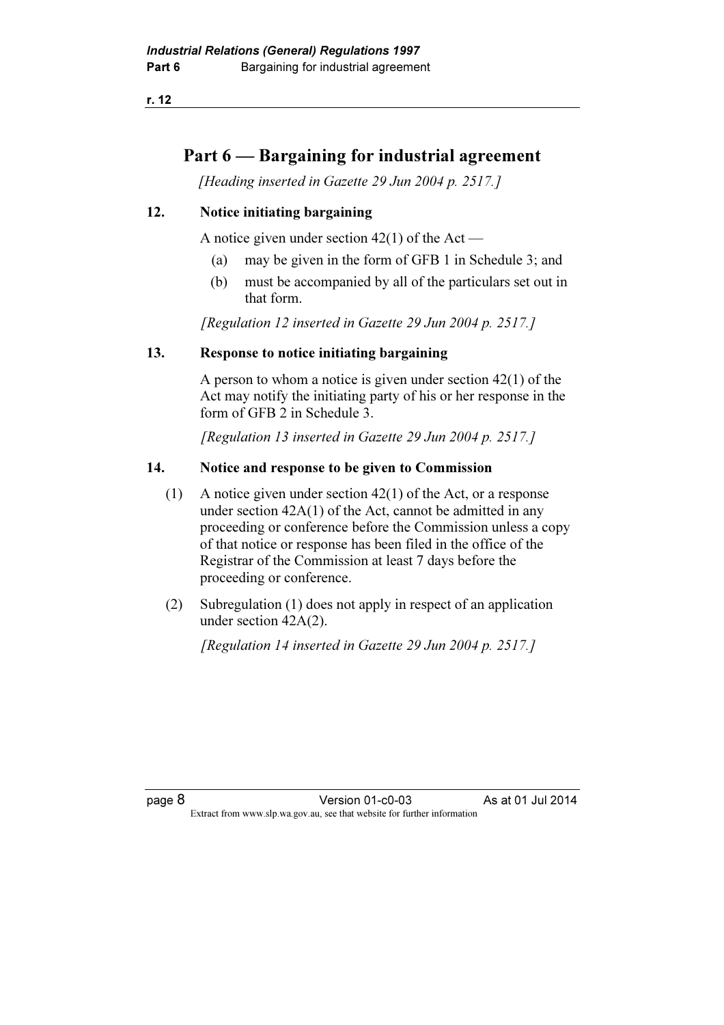## Part 6 — Bargaining for industrial agreement

[Heading inserted in Gazette 29 Jun 2004 p. 2517.]

#### 12. Notice initiating bargaining

A notice given under section  $42(1)$  of the Act —

- (a) may be given in the form of GFB 1 in Schedule 3; and
- (b) must be accompanied by all of the particulars set out in that form.

[Regulation 12 inserted in Gazette 29 Jun 2004 p. 2517.]

#### 13. Response to notice initiating bargaining

 A person to whom a notice is given under section 42(1) of the Act may notify the initiating party of his or her response in the form of GFB 2 in Schedule 3.

[Regulation 13 inserted in Gazette 29 Jun 2004 p. 2517.]

#### 14. Notice and response to be given to Commission

- (1) A notice given under section 42(1) of the Act, or a response under section 42A(1) of the Act, cannot be admitted in any proceeding or conference before the Commission unless a copy of that notice or response has been filed in the office of the Registrar of the Commission at least 7 days before the proceeding or conference.
- (2) Subregulation (1) does not apply in respect of an application under section 42A(2).

[Regulation 14 inserted in Gazette 29 Jun 2004 p. 2517.]

page 8 **Version 01-c0-03** As at 01 Jul 2014  $\mathbf{F}$  from which we be the website for further information for further information  $\mathbf{F}$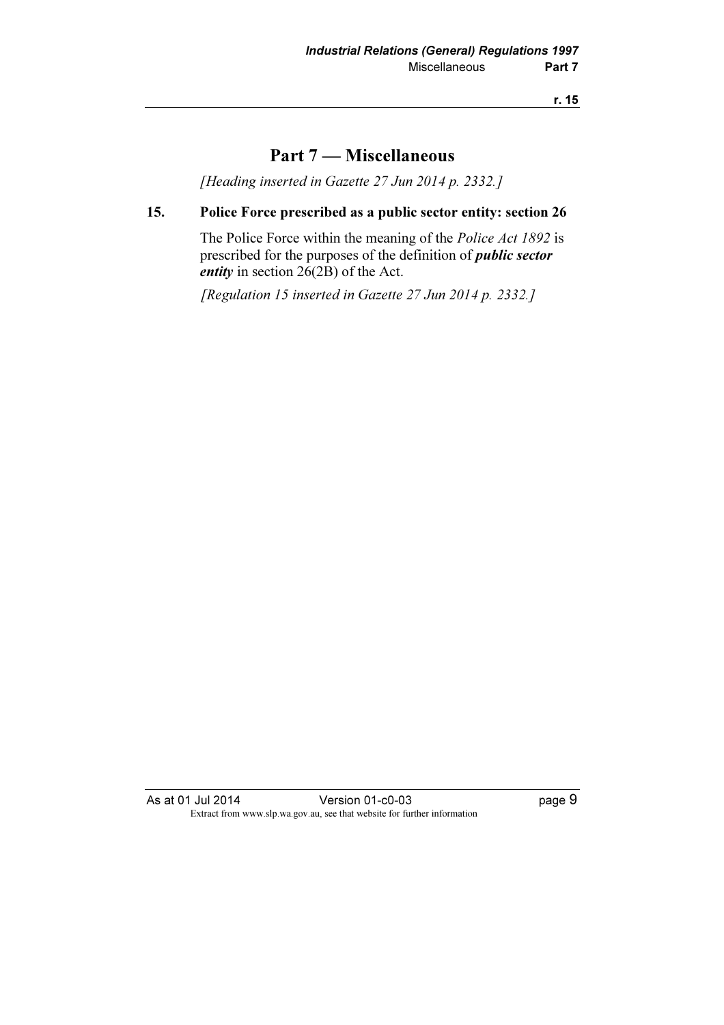### Part 7 — Miscellaneous

[Heading inserted in Gazette 27 Jun 2014 p. 2332.]

#### 15. Police Force prescribed as a public sector entity: section 26

 The Police Force within the meaning of the Police Act 1892 is prescribed for the purposes of the definition of *public sector* entity in section  $26(2B)$  of the Act.

[Regulation 15 inserted in Gazette 27 Jun 2014 p. 2332.]

As at 01 Jul 2014 **Version 01-c0-03 page 9** Extract from www.slp.wa.gov.au, see that website for further information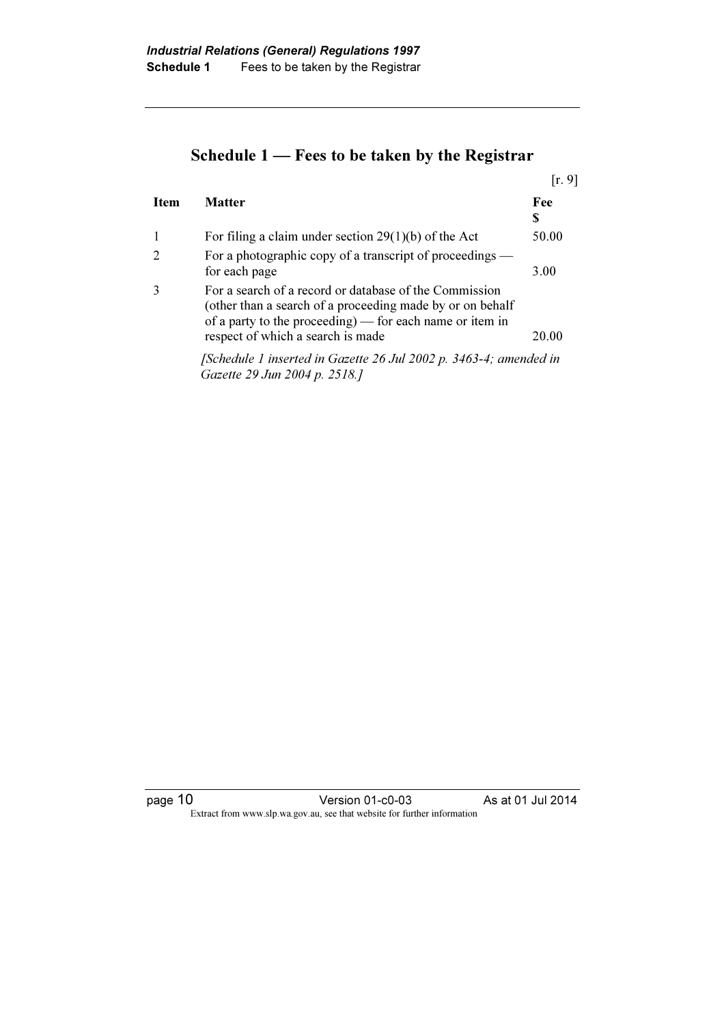# Schedule 1 — Fees to be taken by the Registrar

|             |                                                                                                                                                                                                                      | [r, 9]   |
|-------------|----------------------------------------------------------------------------------------------------------------------------------------------------------------------------------------------------------------------|----------|
| <b>Item</b> | <b>Matter</b>                                                                                                                                                                                                        | Fee<br>S |
|             | For filing a claim under section $29(1)(b)$ of the Act                                                                                                                                                               | 50.00    |
|             | For a photographic copy of a transcript of proceedings —<br>for each page                                                                                                                                            | 3.00     |
|             | For a search of a record or database of the Commission<br>(other than a search of a proceeding made by or on behalf<br>of a party to the proceeding) — for each name or item in<br>respect of which a search is made | 20.00    |
|             | [Schedule 1 inserted in Gazette 26 Jul 2002 p. 3463-4; amended in<br>Gazette 29 Jun 2004 p. 2518.]                                                                                                                   |          |

page 10 **Version 01-c0-03** As at 01 Jul 2014 Extract from www.slp.wa.gov.au, see that website for further information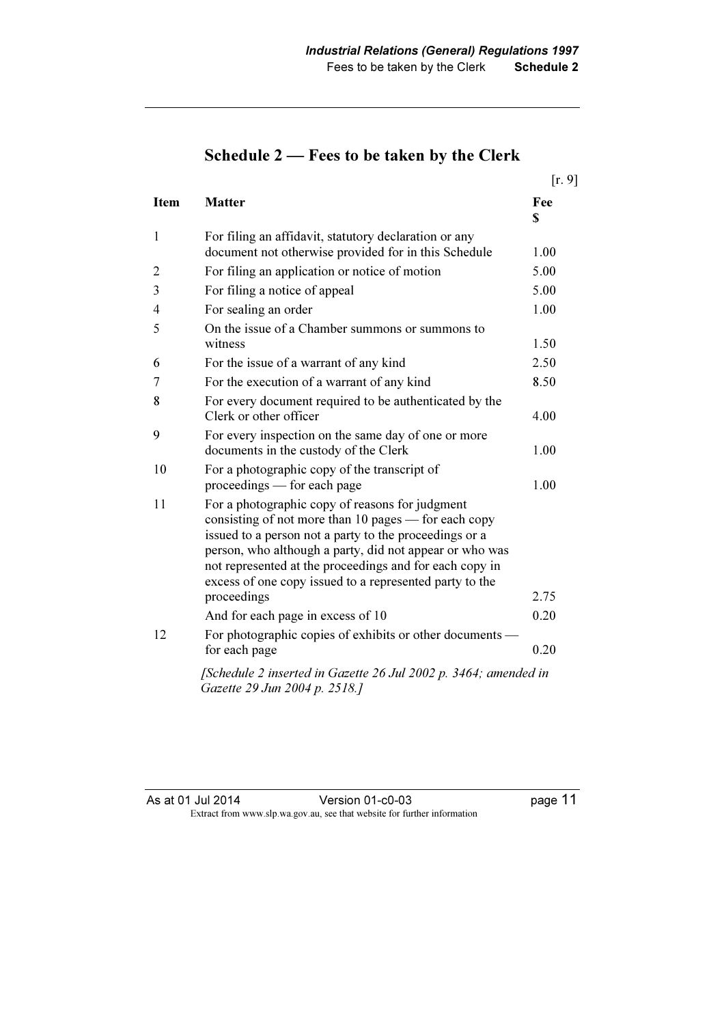|                |                                                                                                                                                                                                                                                                                                                                                    | [r, 9]             |
|----------------|----------------------------------------------------------------------------------------------------------------------------------------------------------------------------------------------------------------------------------------------------------------------------------------------------------------------------------------------------|--------------------|
| <b>Item</b>    | <b>Matter</b>                                                                                                                                                                                                                                                                                                                                      | Fee<br>$\mathbf S$ |
| $\mathbf{1}$   | For filing an affidavit, statutory declaration or any<br>document not otherwise provided for in this Schedule                                                                                                                                                                                                                                      | 1.00               |
| 2              | For filing an application or notice of motion                                                                                                                                                                                                                                                                                                      | 5.00               |
| 3              | For filing a notice of appeal                                                                                                                                                                                                                                                                                                                      | 5.00               |
| $\overline{4}$ | For sealing an order                                                                                                                                                                                                                                                                                                                               | 1.00               |
| 5              | On the issue of a Chamber summons or summons to<br>witness                                                                                                                                                                                                                                                                                         | 1.50               |
| 6              | For the issue of a warrant of any kind                                                                                                                                                                                                                                                                                                             | 2.50               |
| 7              | For the execution of a warrant of any kind                                                                                                                                                                                                                                                                                                         | 8.50               |
| 8              | For every document required to be authenticated by the<br>Clerk or other officer                                                                                                                                                                                                                                                                   | 4.00               |
| 9              | For every inspection on the same day of one or more<br>documents in the custody of the Clerk                                                                                                                                                                                                                                                       | 1.00               |
| 10             | For a photographic copy of the transcript of<br>proceedings — for each page                                                                                                                                                                                                                                                                        | 1.00               |
| 11             | For a photographic copy of reasons for judgment<br>consisting of not more than 10 pages — for each copy<br>issued to a person not a party to the proceedings or a<br>person, who although a party, did not appear or who was<br>not represented at the proceedings and for each copy in<br>excess of one copy issued to a represented party to the |                    |
|                | proceedings                                                                                                                                                                                                                                                                                                                                        | 2.75               |
|                | And for each page in excess of 10                                                                                                                                                                                                                                                                                                                  | 0.20               |
| 12             | For photographic copies of exhibits or other documents —<br>for each page                                                                                                                                                                                                                                                                          | 0.20               |
|                | [Schedule 2 inserted in Gazette 26 Jul 2002 p. 3464; amended in<br>Gazette 29 Jun 2004 p. 2518.]                                                                                                                                                                                                                                                   |                    |

# Schedule 2 — Fees to be taken by the Clerk

As at 01 Jul 2014 Version 01-c0-03 page 11 Extract from www.slp.wa.gov.au, see that website for further information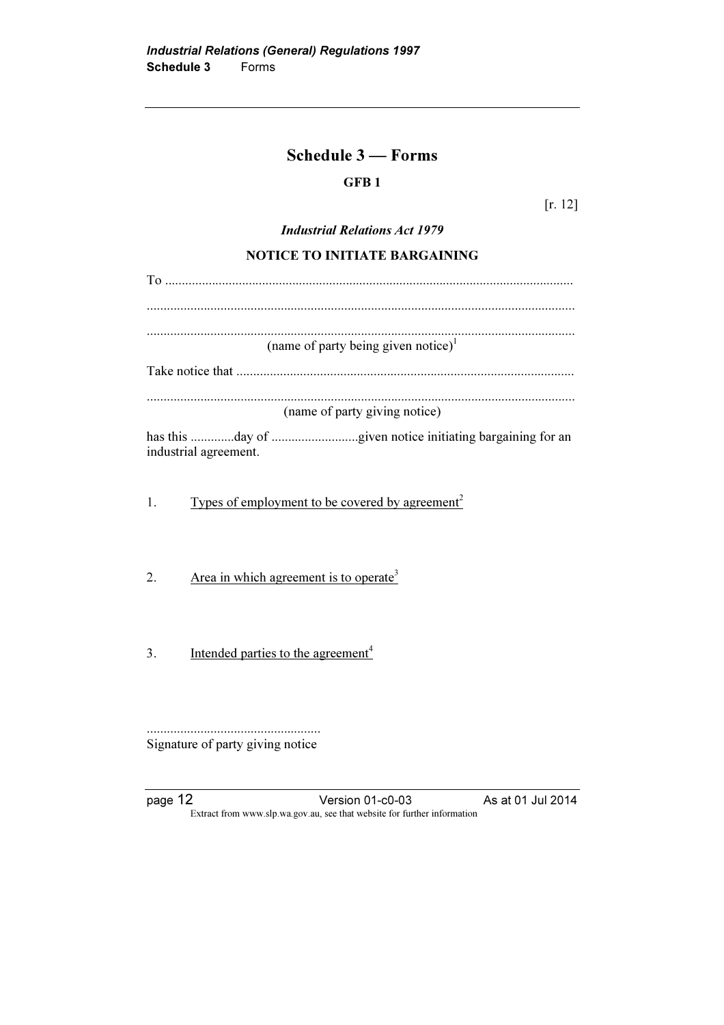### Schedule 3 — Forms

### GFB 1

[r. 12]

#### Industrial Relations Act 1979

#### NOTICE TO INITIATE BARGAINING

| (name of party being given notice) <sup>1</sup>                   |  |  |
|-------------------------------------------------------------------|--|--|
|                                                                   |  |  |
|                                                                   |  |  |
| (name of party giving notice)                                     |  |  |
| industrial agreement.                                             |  |  |
| Types of employment to be covered by agreement <sup>2</sup><br>1. |  |  |
|                                                                   |  |  |
| Area in which agreement is to operate <sup>3</sup><br>2.          |  |  |
|                                                                   |  |  |

3. Intended parties to the agreement<sup>4</sup>

.................................................... Signature of party giving notice

page 12 **Version 01-c0-03** As at 01 Jul 2014 Extract from www.slp.wa.gov.au, see that website for further information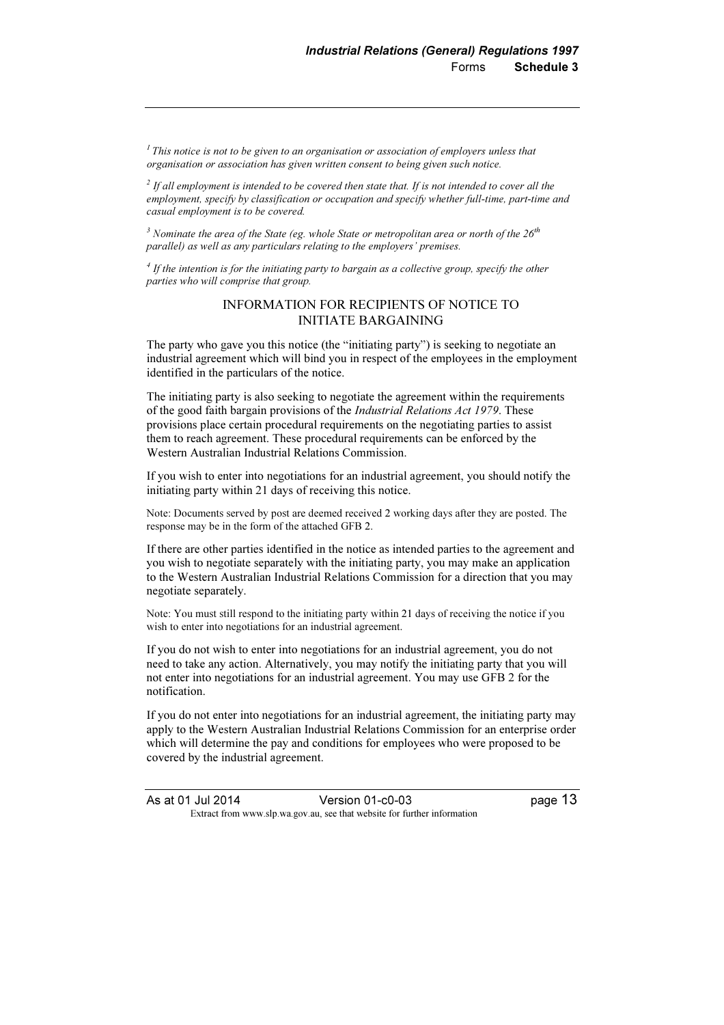$<sup>1</sup>$  This notice is not to be given to an organisation or association of employers unless that</sup> organisation or association has given written consent to being given such notice.

 $^{2}$  If all employment is intended to be covered then state that. If is not intended to cover all the employment, specify by classification or occupation and specify whether full-time, part-time and casual employment is to be covered.

 $^3$  Nominate the area of the State (eg. whole State or metropolitan area or north of the 26<sup>th</sup> parallel) as well as any particulars relating to the employers' premises.

 $<sup>4</sup>$  If the intention is for the initiating party to bargain as a collective group, specify the other</sup> parties who will comprise that group.

#### INFORMATION FOR RECIPIENTS OF NOTICE TO INITIATE BARGAINING

The party who gave you this notice (the "initiating party") is seeking to negotiate an industrial agreement which will bind you in respect of the employees in the employment identified in the particulars of the notice.

The initiating party is also seeking to negotiate the agreement within the requirements of the good faith bargain provisions of the Industrial Relations Act 1979. These provisions place certain procedural requirements on the negotiating parties to assist them to reach agreement. These procedural requirements can be enforced by the Western Australian Industrial Relations Commission.

If you wish to enter into negotiations for an industrial agreement, you should notify the initiating party within 21 days of receiving this notice.

Note: Documents served by post are deemed received 2 working days after they are posted. The response may be in the form of the attached GFB 2.

If there are other parties identified in the notice as intended parties to the agreement and you wish to negotiate separately with the initiating party, you may make an application to the Western Australian Industrial Relations Commission for a direction that you may negotiate separately.

Note: You must still respond to the initiating party within 21 days of receiving the notice if you wish to enter into negotiations for an industrial agreement.

If you do not wish to enter into negotiations for an industrial agreement, you do not need to take any action. Alternatively, you may notify the initiating party that you will not enter into negotiations for an industrial agreement. You may use GFB 2 for the notification.

If you do not enter into negotiations for an industrial agreement, the initiating party may apply to the Western Australian Industrial Relations Commission for an enterprise order which will determine the pay and conditions for employees who were proposed to be covered by the industrial agreement.

As at 01 Jul 2014 Version 01-c0-03 page 13  $\mathbf{F}$  from which we be the website for further information for further information  $\mathbf{F}$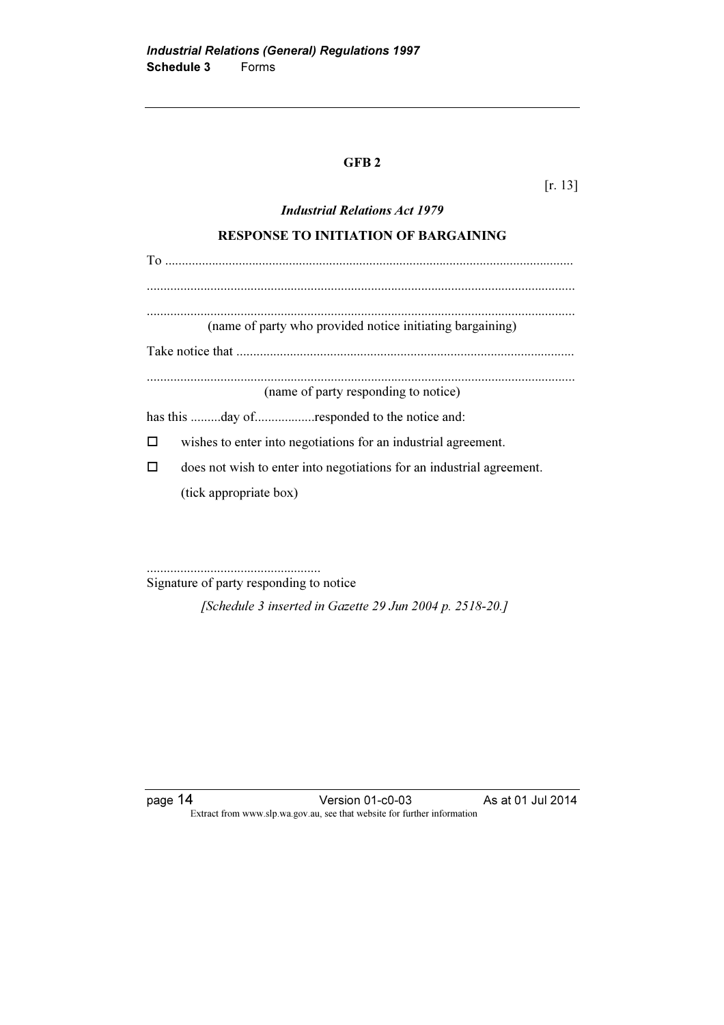#### GFB 2

[r. 13]

# Industrial Relations Act 1979 RESPONSE TO INITIATION OF BARGAINING To .......................................................................................................................... ................................................................................................................................ ................................................................................................................................ (name of party who provided notice initiating bargaining) Take notice that ..................................................................................................... ................................................................................................................................ (name of party responding to notice) has this .........day of..................responded to the notice and:  $\Box$  wishes to enter into negotiations for an industrial agreement.  $\Box$  does not wish to enter into negotiations for an industrial agreement. (tick appropriate box)

....................................................

Signature of party responding to notice

[Schedule 3 inserted in Gazette 29 Jun 2004 p. 2518-20.]

page 14 **Version 01-c0-03** As at 01 Jul 2014 Extract from www.slp.wa.gov.au, see that website for further information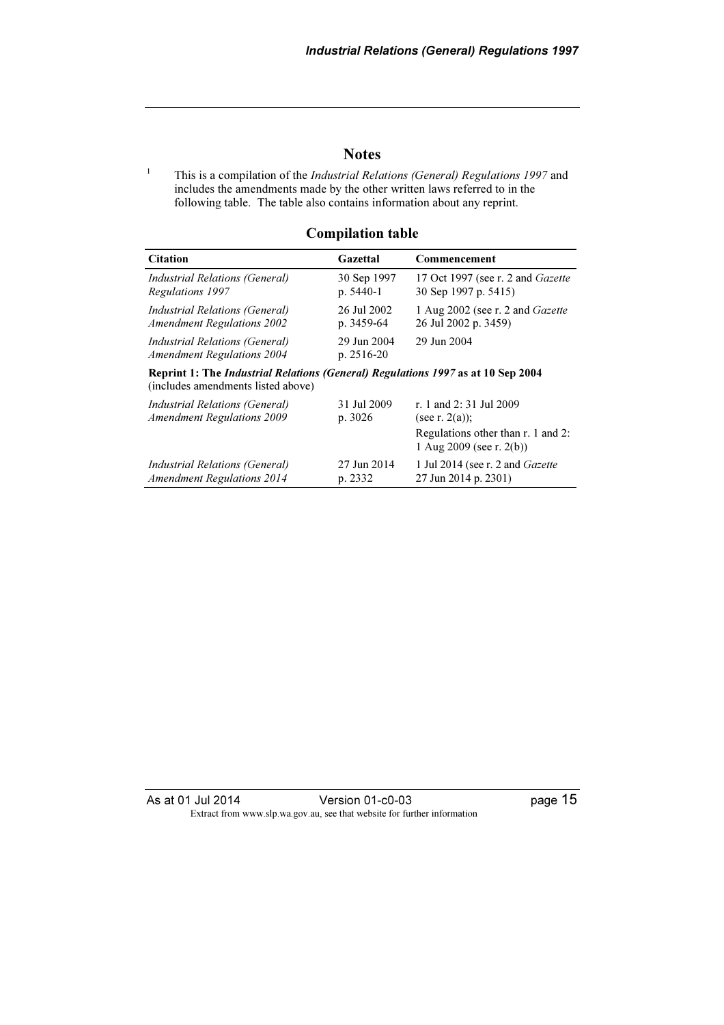#### **Notes**

1 This is a compilation of the Industrial Relations (General) Regulations 1997 and includes the amendments made by the other written laws referred to in the following table. The table also contains information about any reprint.

#### Compilation table

| <b>Citation</b>                                                                                                        | Gazettal                  | Commencement                                                      |  |
|------------------------------------------------------------------------------------------------------------------------|---------------------------|-------------------------------------------------------------------|--|
| Industrial Relations (General)                                                                                         | 30 Sep 1997               | 17 Oct 1997 (see r. 2 and Gazette                                 |  |
| Regulations 1997                                                                                                       | $p. 5440-1$               | 30 Sep 1997 p. 5415)                                              |  |
| Industrial Relations (General)                                                                                         | 26 Jul 2002               | 1 Aug 2002 (see r. 2 and <i>Gazette</i>                           |  |
| <b>Amendment Regulations 2002</b>                                                                                      | p. 3459-64                | 26 Jul 2002 p. 3459)                                              |  |
| Industrial Relations (General)<br><b>Amendment Regulations 2004</b>                                                    | 29 Jun 2004<br>p. 2516-20 | 29 Jun 2004                                                       |  |
| Reprint 1: The Industrial Relations (General) Regulations 1997 as at 10 Sep 2004<br>(includes amendments listed above) |                           |                                                                   |  |
| Industrial Relations (General)                                                                                         | 31 Jul 2009               | r. 1 and 2:31 Jul 2009                                            |  |
| <b>Amendment Regulations 2009</b>                                                                                      | p. 3026                   | (see r. $2(a)$ );                                                 |  |
|                                                                                                                        |                           | Regulations other than r. 1 and 2:<br>1 Aug 2009 (see r. $2(b)$ ) |  |
| Industrial Relations (General)                                                                                         | 27 Jun 2014               | 1 Jul 2014 (see r. 2 and <i>Gazette</i>                           |  |
| <b>Amendment Regulations 2014</b>                                                                                      | p. 2332                   | 27 Jun 2014 p. 2301)                                              |  |

As at 01 Jul 2014 Version 01-c0-03 page 15 Extract from www.slp.wa.gov.au, see that website for further information